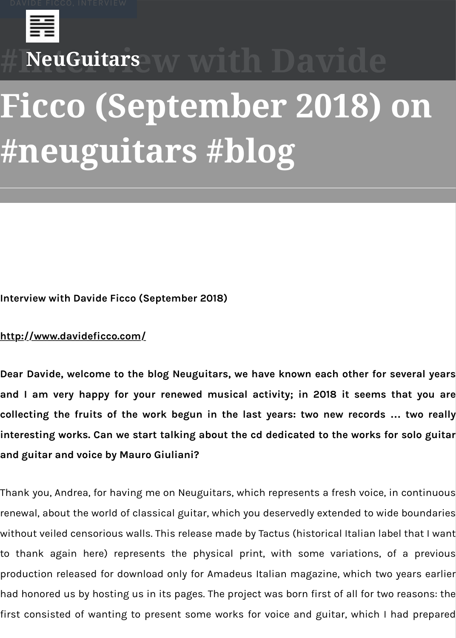# **[Ficc](https://neuguitars.com/tag/davide-ficco/)[o \(Se](https://neuguitars.com/tag/interview/)ptember 2018) on #[neuguit](https://neuguitars.com/)ars #blog**

**Interview with Davide Ficco (September 2018)**

#### **http://[www.davideficco.c](https://neuguitars.com/author/neuguitars/)o[m/](https://neuguitars.com/2018/09/02/interview-with-davide-ficco-september-2018-on-neuguitars-blog/)**

Dear Davide, welcome to the blog Neuguitars, we have known each other for se and I am very happy for your renewed musical activity; in 2018 it seems th **collecting the fruits of the work begun in the last years: two new records ...** interesting works. Can we start talking about the cd dedicated to the works for **[and guitar and voice by Mauro](http://www.davideficco.com/) Giuliani?**

Thank you, Andrea, for having me on Neuguitars, which represents a fresh voice, in renewal, about the world of classical guitar, which you deservedly extended to wide without veiled censorious walls. This release made by Tactus (historical Italian labe to thank again here) represents the physical print, with some variations, of production released for download only for Amadeus Italian magazine, which two y had honored us by hosting us in its pages. The project was born first of all for two r first consisted of wanting to present some works for voice and guitar, which I ha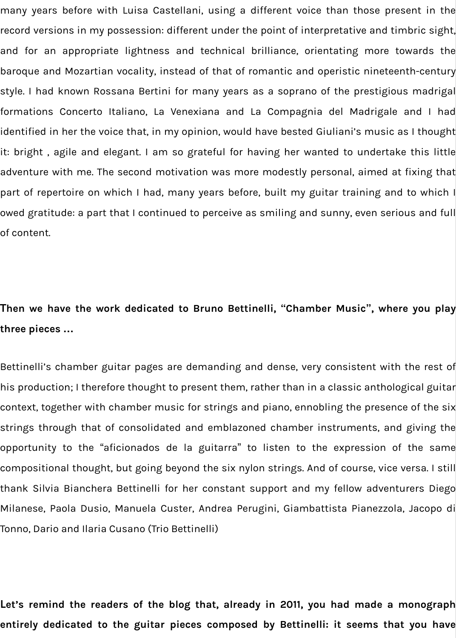many years before with Luisa Castellani, using a different voice than those present in the record versions in my possession: different under the point of interpretative and timbric sight, and for an appropriate lightness and technical brilliance, orientating more towards the baroque and Mozartian vocality, instead of that of romantic and operistic nineteenth-century style. I had known Rossana Bertini for many years as a soprano of the prestigious madrigal formations Concerto Italiano, La Venexiana and La Compagnia del Madrigale and I had identified in her the voice that, in my opinion, would have bested Giuliani's music as I thought it: bright , agile and elegant. I am so grateful for having her wanted to undertake this little adventure with me. The second motivation was more modestly personal, aimed at fixing that part of repertoire on which I had, many years before, built my guitar training and to which I owed gratitude: a part that I continued to perceive as smiling and sunny, even serious and full of content.

## **Then we have the work dedicated to Bruno Bettinelli, "Chamber Music", where you play three pieces …**

Bettinelli's chamber guitar pages are demanding and dense, very consistent with the rest of his production; I therefore thought to present them, rather than in a classic anthological guitar context, together with chamber music for strings and piano, ennobling the presence of the six strings through that of consolidated and emblazoned chamber instruments, and giving the opportunity to the "aficionados de la guitarra" to listen to the expression of the same compositional thought, but going beyond the six nylon strings. And of course, vice versa. I still thank Silvia Bianchera Bettinelli for her constant support and my fellow adventurers Diego Milanese, Paola Dusio, Manuela Custer, Andrea Perugini, Giambattista Pianezzola, Jacopo di Tonno, Dario and Ilaria Cusano (Trio Bettinelli)

**Let's remind the readers of the blog that, already in 2011, you had made a monograph entirely dedicated to the guitar pieces composed by Bettinelli: it seems that you have**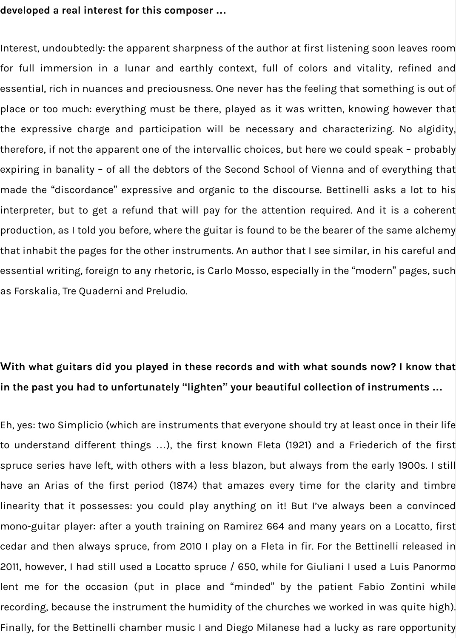#### **developed a real interest for this composer …**

Interest, undoubtedly: the apparent sharpness of the author at first listening soon leaves room for full immersion in a lunar and earthly context, full of colors and vitality, refined and essential, rich in nuances and preciousness. One never has the feeling that something is out of place or too much: everything must be there, played as it was written, knowing however that the expressive charge and participation will be necessary and characterizing. No algidity, therefore, if not the apparent one of the intervallic choices, but here we could speak – probably expiring in banality – of all the debtors of the Second School of Vienna and of everything that made the "discordance" expressive and organic to the discourse. Bettinelli asks a lot to his interpreter, but to get a refund that will pay for the attention required. And it is a coherent production, as I told you before, where the guitar is found to be the bearer of the same alchemy that inhabit the pages for the other instruments. An author that I see similar, in his careful and essential writing, foreign to any rhetoric, is Carlo Mosso, especially in the "modern" pages, such as Forskalia, Tre Quaderni and Preludio.

# **With what guitars did you played in these records and with what sounds now? I know that in the past you had to unfortunately "lighten" your beautiful collection of instruments …**

Eh, yes: two Simplicio (which are instruments that everyone should try at least once in their life to understand different things …), the first known Fleta (1921) and a Friederich of the first spruce series have left, with others with a less blazon, but always from the early 1900s. I still have an Arias of the first period (1874) that amazes every time for the clarity and timbre linearity that it possesses: you could play anything on it! But I've always been a convinced mono-guitar player: after a youth training on Ramirez 664 and many years on a Locatto, first cedar and then always spruce, from 2010 I play on a Fleta in fir. For the Bettinelli released in 2011, however, I had still used a Locatto spruce / 650, while for Giuliani I used a Luis Panormo lent me for the occasion (put in place and "minded" by the patient Fabio Zontini while recording, because the instrument the humidity of the churches we worked in was quite high). Finally, for the Bettinelli chamber music I and Diego Milanese had a lucky as rare opportunity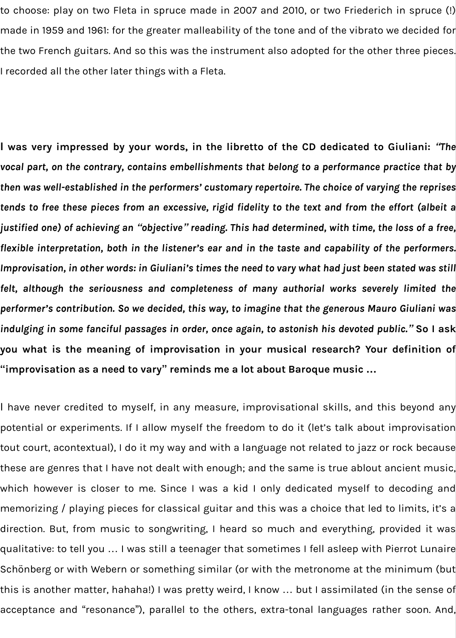to choose: play on two Fleta in spruce made in 2007 and 2010, or two Friederich in spruce (!) made in 1959 and 1961: for the greater malleability of the tone and of the vibrato we decided for the two French guitars. And so this was the instrument also adopted for the other three pieces. I recorded all the other later things with a Fleta.

**I was very impressed by your words, in the libretto of the CD dedicated to Giuliani:** *"The vocal part, on the contrary, contains embellishments that belong to a performance practice that by then was well-established in the performers' customary repertoire. The choice of varying the reprises tends to free these pieces from an excessive, rigid fidelity to the text and from the effort (albeit a justified one) of achieving an "objective" reading. This had determined, with time, the loss of a free, flexible interpretation, both in the listener's ear and in the taste and capability of the performers. Improvisation, in other words: in Giuliani's times the need to vary what had just been stated was still felt, although the seriousness and completeness of many authorial works severely limited the performer's contribution. So we decided, this way, to imagine that the generous Mauro Giuliani was indulging in some fanciful passages in order, once again, to astonish his devoted public."* **So I ask you what is the meaning of improvisation in your musical research? Your definition of "improvisation as a need to vary" reminds me a lot about Baroque music …**

I have never credited to myself, in any measure, improvisational skills, and this beyond any potential or experiments. If I allow myself the freedom to do it (let's talk about improvisation tout court, acontextual), I do it my way and with a language not related to jazz or rock because these are genres that I have not dealt with enough; and the same is true ablout ancient music, which however is closer to me. Since I was a kid I only dedicated myself to decoding and memorizing / playing pieces for classical guitar and this was a choice that led to limits, it's a direction. But, from music to songwriting, I heard so much and everything, provided it was qualitative: to tell you … I was still a teenager that sometimes I fell asleep with Pierrot Lunaire Schönberg or with Webern or something similar (or with the metronome at the minimum (but this is another matter, hahaha!) I was pretty weird, I know … but I assimilated (in the sense of acceptance and "resonance"), parallel to the others, extra-tonal languages rather soon. And,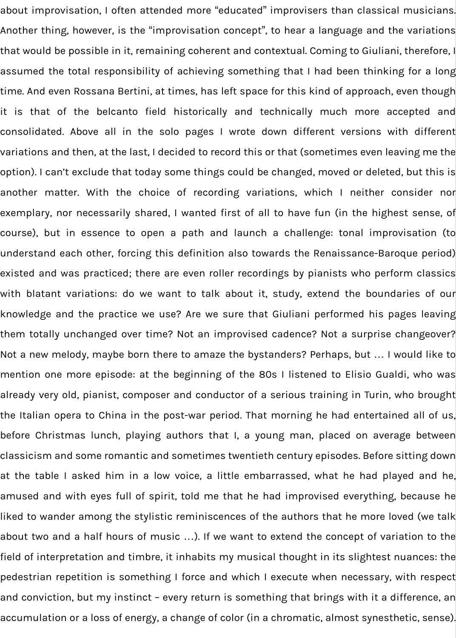about improvisation, I often attended more "educated" improvisers than classical musicians. Another thing, however, is the "improvisation concept", to hear a language and the variations that would be possible in it, remaining coherent and contextual. Coming to Giuliani, therefore, I assumed the total responsibility of achieving something that I had been thinking for a long time. And even Rossana Bertini, at times, has left space for this kind of approach, even though it is that of the belcanto field historically and technically much more accepted and consolidated. Above all in the solo pages I wrote down different versions with different variations and then, at the last, I decided to record this or that (sometimes even leaving me the option). I can't exclude that today some things could be changed, moved or deleted, but this is another matter. With the choice of recording variations, which I neither consider nor exemplary, nor necessarily shared, I wanted first of all to have fun (in the highest sense, of course), but in essence to open a path and launch a challenge: tonal improvisation (to understand each other, forcing this definition also towards the Renaissance-Baroque period) existed and was practiced; there are even roller recordings by pianists who perform classics with blatant variations: do we want to talk about it, study, extend the boundaries of our knowledge and the practice we use? Are we sure that Giuliani performed his pages leaving them totally unchanged over time? Not an improvised cadence? Not a surprise changeover? Not a new melody, maybe born there to amaze the bystanders? Perhaps, but … I would like to mention one more episode: at the beginning of the 80s I listened to Elisio Gualdi, who was already very old, pianist, composer and conductor of a serious training in Turin, who brought the Italian opera to China in the post-war period. That morning he had entertained all of us, before Christmas lunch, playing authors that I, a young man, placed on average between classicism and some romantic and sometimes twentieth century episodes. Before sitting down at the table I asked him in a low voice, a little embarrassed, what he had played and he, amused and with eyes full of spirit, told me that he had improvised everything, because he liked to wander among the stylistic reminiscences of the authors that he more loved (we talk about two and a half hours of music …). If we want to extend the concept of variation to the field of interpretation and timbre, it inhabits my musical thought in its slightest nuances: the pedestrian repetition is something I force and which I execute when necessary, with respect and conviction, but my instinct – every return is something that brings with it a difference, an accumulation or a loss of energy, a change of color (in a chromatic, almost synesthetic, sense).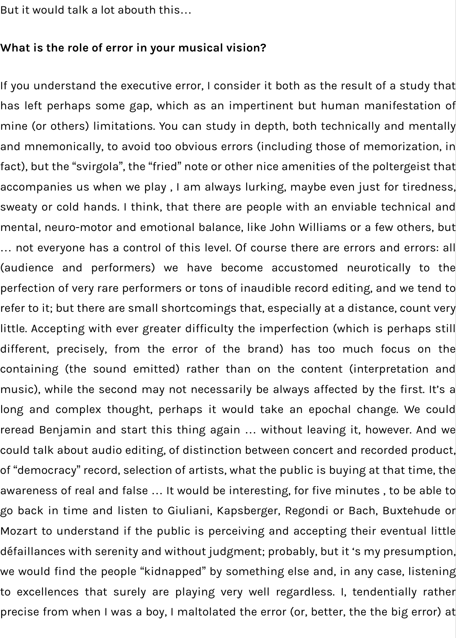But it would talk a lot abouth this…

### **What is the role of error in your musical vision?**

If you understand the executive error, I consider it both as the result of a study that has left perhaps some gap, which as an impertinent but human manifestation of mine (or others) limitations. You can study in depth, both technically and mentally and mnemonically, to avoid too obvious errors (including those of memorization, in fact), but the "svirgola", the "fried" note or other nice amenities of the poltergeist that accompanies us when we play , I am always lurking, maybe even just for tiredness, sweaty or cold hands. I think, that there are people with an enviable technical and mental, neuro-motor and emotional balance, like John Williams or a few others, but … not everyone has a control of this level. Of course there are errors and errors: all (audience and performers) we have become accustomed neurotically to the perfection of very rare performers or tons of inaudible record editing, and we tend to refer to it; but there are small shortcomings that, especially at a distance, count very little. Accepting with ever greater difficulty the imperfection (which is perhaps still different, precisely, from the error of the brand) has too much focus on the containing (the sound emitted) rather than on the content (interpretation and music), while the second may not necessarily be always affected by the first. It's a long and complex thought, perhaps it would take an epochal change. We could reread Benjamin and start this thing again … without leaving it, however. And we could talk about audio editing, of distinction between concert and recorded product, of "democracy" record, selection of artists, what the public is buying at that time, the awareness of real and false … It would be interesting, for five minutes , to be able to go back in time and listen to Giuliani, Kapsberger, Regondi or Bach, Buxtehude or Mozart to understand if the public is perceiving and accepting their eventual little défaillances with serenity and without judgment; probably, but it 's my presumption, we would find the people "kidnapped" by something else and, in any case, listening to excellences that surely are playing very well regardless. I, tendentially rather precise from when I was a boy, I maltolated the error (or, better, the the big error) at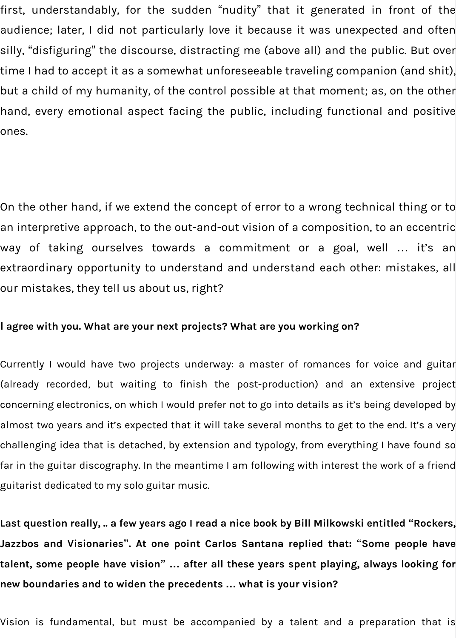first, understandably, for the sudden "nudity" that it generated in front of the audience; later, I did not particularly love it because it was unexpected and often silly, "disfiguring" the discourse, distracting me (above all) and the public. But over time I had to accept it as a somewhat unforeseeable traveling companion (and shit), but a child of my humanity, of the control possible at that moment; as, on the other hand, every emotional aspect facing the public, including functional and positive ones.

On the other hand, if we extend the concept of error to a wrong technical thing or to an interpretive approach, to the out-and-out vision of a composition, to an eccentric way of taking ourselves towards a commitment or a goal, well … it's an extraordinary opportunity to understand and understand each other: mistakes, all our mistakes, they tell us about us, right?

#### **I agree with you. What are your next projects? What are you working on?**

Currently I would have two projects underway: a master of romances for voice and guitar (already recorded, but waiting to finish the post-production) and an extensive project concerning electronics, on which I would prefer not to go into details as it's being developed by almost two years and it's expected that it will take several months to get to the end. It's a very challenging idea that is detached, by extension and typology, from everything I have found so far in the guitar discography. In the meantime I am following with interest the work of a friend guitarist dedicated to my solo guitar music.

**Last question really, .. a few years ago I read a nice book by Bill Milkowski entitled "Rockers, Jazzbos and Visionaries". At one point Carlos Santana replied that: "Some people have talent, some people have vision" … after all these years spent playing, always looking for new boundaries and to widen the precedents … what is your vision?**

Vision is fundamental, but must be accompanied by a talent and a preparation that is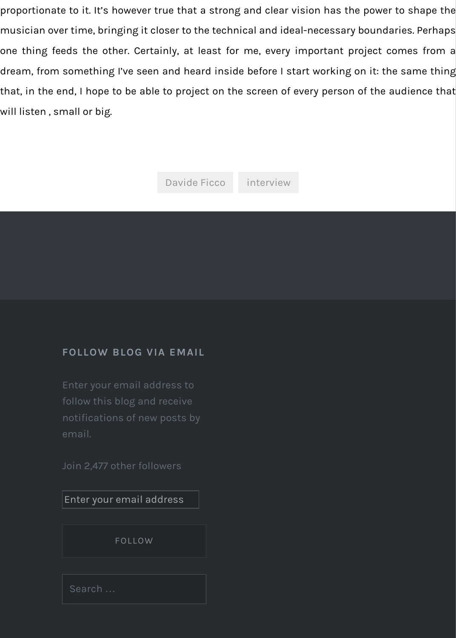#### **FOLLOW BLOG VIA EMAIL**

Enter your email address to follow this blog and receive notifications of new posts by email.

Join 2,477 other followers

Enter your email address

FOLLOW

Search …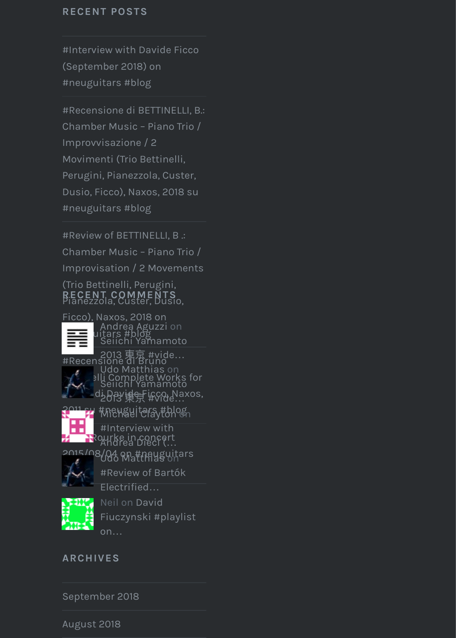Chamber Music – Piano Trio / Improvvisazione / 2 Movimenti (Trio Bettinelli, Perugini, Pianezzola, Custer, [Dusio, Ficco\), Naxos, 2018 su](https://neuguitars.com/2018/09/02/interview-with-davide-ficco-september-2018-on-neuguitars-blog/) #neuguitars #blog

#Review of BETTINELLI, B .: Chamber Music – Piano Trio / [Improvisation / 2 Movements](https://neuguitars.com/2018/09/01/recensione-di-bettinelli-b-chamber-music-piano-trio-improvvisazione-2-movimenti-trio-bettinelli-perugini-pianezzola-custer-dusio-ficco-naxos-2018-su-neuguitars-blog/) (Trio Bettinelli, Perugini,

Pianezzola, Custer, Dusio, **RECENT COMMENTS**



Ficco), Naxos, 2018 on  $\equiv$  uitars #blog Andrea Aguzzi on Seiichi Yamamoto

#Recensione di Bruno 2013 東京 #vide…



 $\mathcal{L}^{\ell}$  alli Complete Works for 2013 di Davier i fron Naxos, Udo Matthias on Seiichi Yamamoto



<mark>2011 su</mark> #Newguitars<sub>y#blog</sub>

Jim O'Rourke in concert #Interview with [Andrea Dieci \(](http://neuguitar.wordpress.com/)…



[2015/0](http://neuguitar.wordpress.com/)8/04 on #neuguitars Udo Matthias on

[#Review of Bartók](https://neuguitars.com/2018/08/28/seiichi-yamamoto-2013-%e6%9d%b1%e4%ba%ac-video-on-neuguitars-blog/comment-page-1/#comment-3693)

[Electrified](http://afrigalblog.wordpress.com/)…



Neil on David [Fiuczynski #playlist](https://neuguitars.com/2018/08/30/recensione-di-bruno-bettinelli-complete-works-for-guitar-di-davide-ficco-naxos-2011-su-neuguitars-blog/) [on](http://none/)…

**[ARCHIVES](https://neuguitars.com/2018/08/29/jim-orourke-in-concert-2015-08-04-on-neuguitars-blog/)**

[Septem](http://afrigalblog.wordpress.com/)[ber 2018](https://neuguitars.com/2018/08/09/review-of-bartok-electrified-by-parniczky-quartet-bmc-2018-on-neuguitars-blog/comment-page-1/#comment-3628)

August [2018](https://neuguitars.com/2018/07/31/david-fiuczynski-playlist-on-neuguitars-blog/comment-page-1/#comment-3559)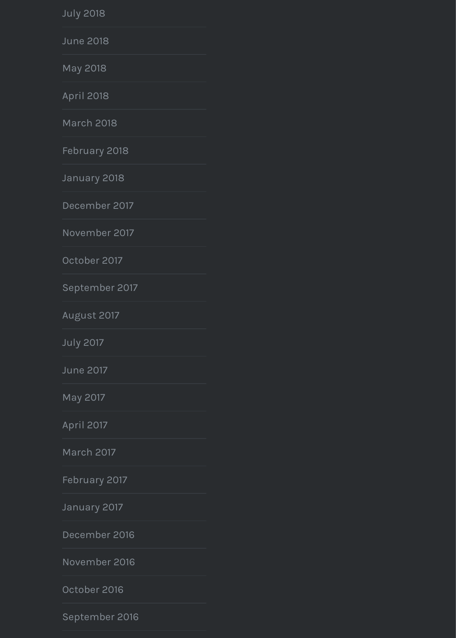[March 20](https://neuguitars.com/2018/07/)18

[February 2](https://neuguitars.com/2018/06/)018

[January 2](https://neuguitars.com/2018/05/)018

[December](https://neuguitars.com/2018/04/) 2017

[November 2](https://neuguitars.com/2018/03/)017

[October 2017](https://neuguitars.com/2018/02/)

[September 20](https://neuguitars.com/2018/01/)17

[August 2017](https://neuguitars.com/2017/12/)

[July 2017](https://neuguitars.com/2017/11/)

[June 2017](https://neuguitars.com/2017/10/)

[May 2017](https://neuguitars.com/2017/09/)

[April 2017](https://neuguitars.com/2017/08/)

[March 20](https://neuguitars.com/2017/07/)17

[February 2](https://neuguitars.com/2017/06/)017

[January 2](https://neuguitars.com/2017/05/)017

[December](https://neuguitars.com/2017/04/) 2016

[November 2](https://neuguitars.com/2017/03/)016

[October 2016](https://neuguitars.com/2017/02/)

[September 2](https://neuguitars.com/2017/01/)016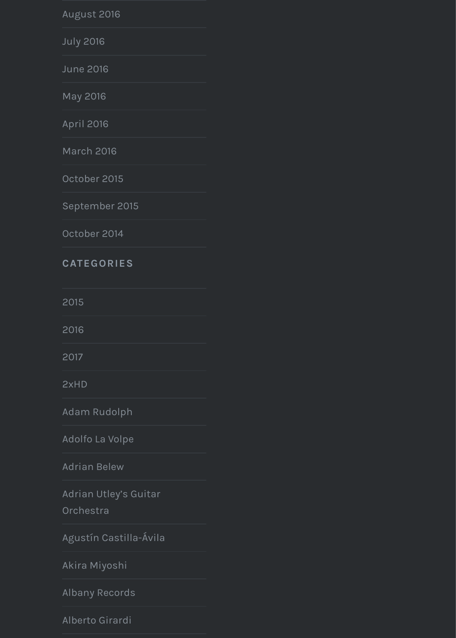| April 2016 |  |
|------------|--|
|------------|--|

[March 20](https://neuguitars.com/2016/07/)16

[October 20](https://neuguitars.com/2016/06/)15

[Septembe](https://neuguitars.com/2016/05/)r 2015

[October 20](https://neuguitars.com/2016/04/)14

#### **[CATEGORI](https://neuguitars.com/2016/03/)ES**

[2015](https://neuguitars.com/2015/10/)

[2016](https://neuguitars.com/2015/09/)

[2017](https://neuguitars.com/2014/10/)

2xHD

[Adam](https://neuguitars.com/category/2015/) Rudolph

[Adolf](https://neuguitars.com/category/2016/)o La Volpe

[Adria](https://neuguitars.com/category/2017/)n Belew

Adrian Utley's Guitar

[Orche](https://neuguitars.com/category/2xhd/)stra

[Agustín Castilla](https://neuguitars.com/category/adam-rudolph/)-Ávila

[Akira Miyoshi](https://neuguitars.com/category/adolfo-la-volpe/)

[Albany Record](https://neuguitars.com/category/adrian-belew/)s

[Alberto Girardi](https://neuguitars.com/category/adrian-utleys-guitar-orchestra/)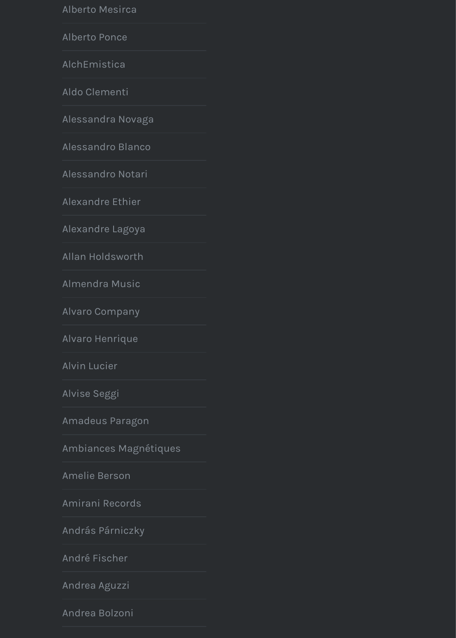Aluuulu uuvugu

Alessandro Blanco

Alessandro Notari

Alexandre Ethier

Alexandre Lagoya

Allan Holdsworth

Almendra Music

Alvaro Company

Alvaro Henrique

**Alvin Lucier** 

Alvise Seggi

Amadeus Paragon

Ambiances Magnétiques

Amelie Berson

Amirani Records

András Párniczky

André Fischer

Andrea Aguzzi

Andrea Bolzoni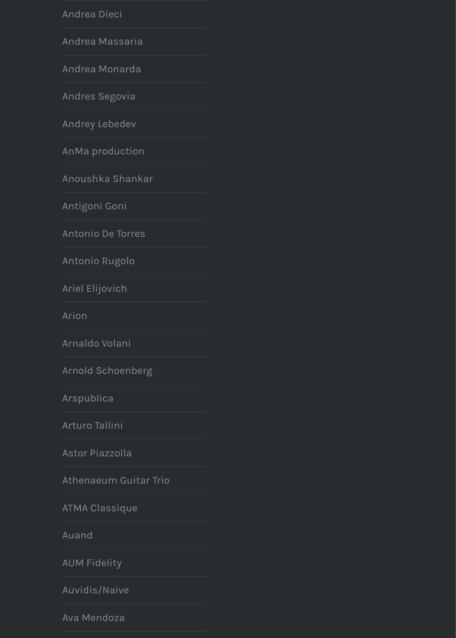Andrey Lebedev

AnMa production

Anoushka Shankar

Antigoni Goni

Antonio De Torres

Antonio Rugolo

Ariel Elijovich

Arion

Arnaldo Volani

Arnold Schoenberg

Arspublica

Arturo Tallini

Astor Piazzolla

Athenaeum Guitar Trio

**ATMA Classique** 

Auand

**AUM Fidelity** 

Auvidis/Naive

Ava Mendoza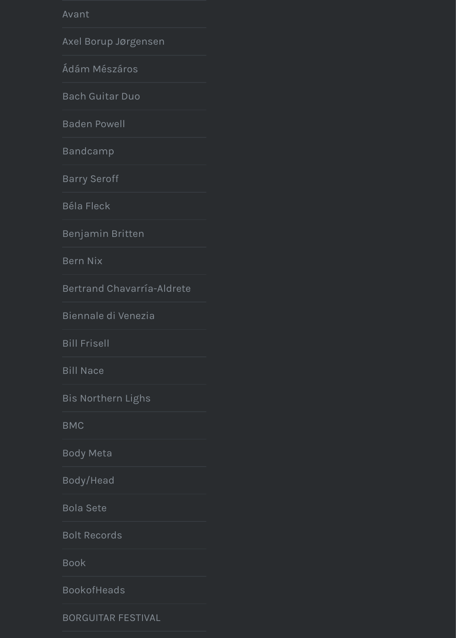Baden Powell

**Bandcamp** 

**Barry Seroff** 

**Béla Fleck** 

Benjamin Britten

**Bern Nix** 

Bertrand Chavarría-Aldrete

Biennale di Venezia

**Bill Frisell** 

**Bill Nace** 

Bis Northern Lighs

**BMC** 

**Body Meta** 

Body/Head

**Bola Sete** 

**Bolt Records** 

**Book** 

**BookofHeads** 

**BORGUITAR FESTIVAL**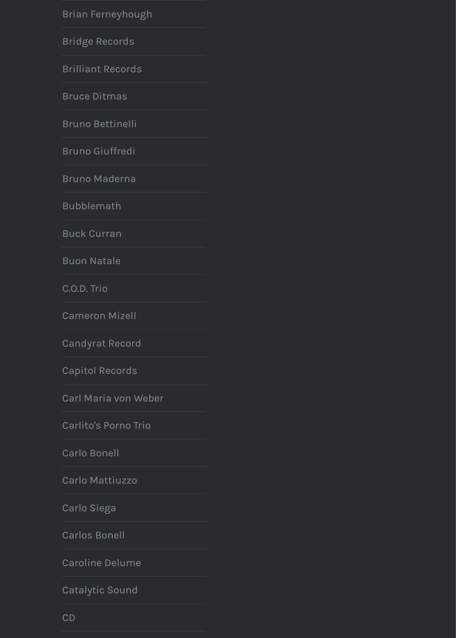Bruno Bettinelli

**Bruno Giuffredi** 

**Bruno Maderna** 

**Bubblemath** 

**Buck Curran** 

**Buon Natale** 

C.O.D. Trio

**Cameron Mizell** 

**Candyrat Record** 

**Capitol Records** 

Carl Maria von Weber

Carlito's Porno Trio

**Carlo Bonell** 

Carlo Mattiuzzo

Carlo Siega

**Carlos Bonell** 

**Caroline Delume** 

Catalytic Sound

 $CD$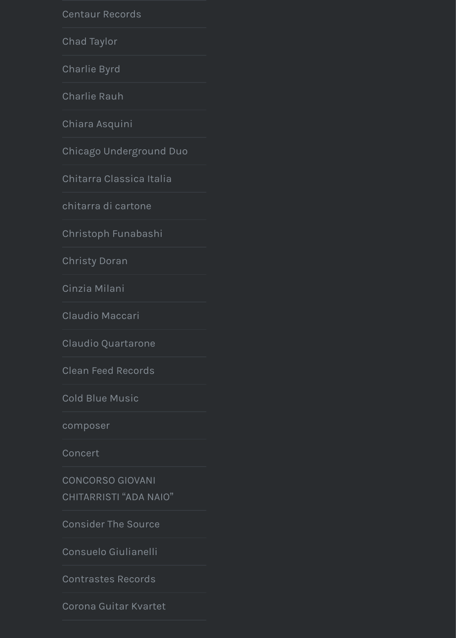[Chiara Asquini](https://neuguitars.com/category/centaur-records/)

[Chicago Und](https://neuguitars.com/category/chad-taylor/)erground Duo

[Chitarra Clas](https://neuguitars.com/category/charlie-byrd/)sica Italia

[chitarra di ca](https://neuguitars.com/category/charlie-rauh/)rtone

[Christoph Funa](https://neuguitars.com/category/chiara-asquini/)bashi

[Christy Doran](https://neuguitars.com/category/chicago-underground-duo/)

[Cinzia Milani](https://neuguitars.com/category/chitarra-classica-italia/)

[Claudio Maccari](https://neuguitars.com/category/chitarra-di-cartone/)

[Claudio Quartarone](https://neuguitars.com/category/christoph-funabashi/)

[Clean Feed Re](https://neuguitars.com/category/christy-doran/)cords

[Cold Blue Mu](https://neuguitars.com/category/cinzia-milani/)sic

[composer](https://neuguitars.com/category/claudio-maccari/)

[Concert](https://neuguitars.com/category/claudio-quartarone/)

CONCORSO GIOVANI

[CHITARRISTI](https://neuguitars.com/category/clean-feed-records/) "ADA NAIO"

[Consider The Sou](https://neuguitars.com/category/cold-blue-music/)rce

[Consuelo G](https://neuguitars.com/category/composer/)iulianelli

[Contras](https://neuguitars.com/category/concert/)tes Records

[Corona Guitar Kvartet](https://neuguitars.com/category/concorso-giovani-chitarristi-ada-naio/)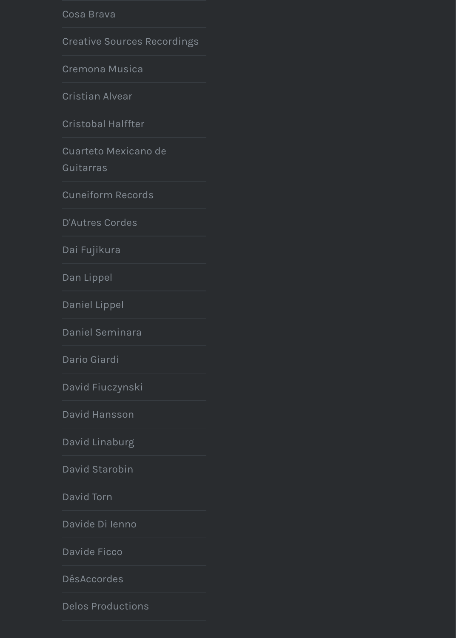Cristobal Halffter

Cuarteto Mexicano de

Guitarras

**Cuneiform Records** 

**D'Autres Cordes** 

Dai Fujikura

Dan Lippel

Daniel Lippel

Daniel Seminara

Dario Giardi

David Fiuczynski

David Hansson

David Linaburg

David Starobin

David Torn

Davide Di lenno

Davide Ficco

**DésAccordes** 

**Delos Productions**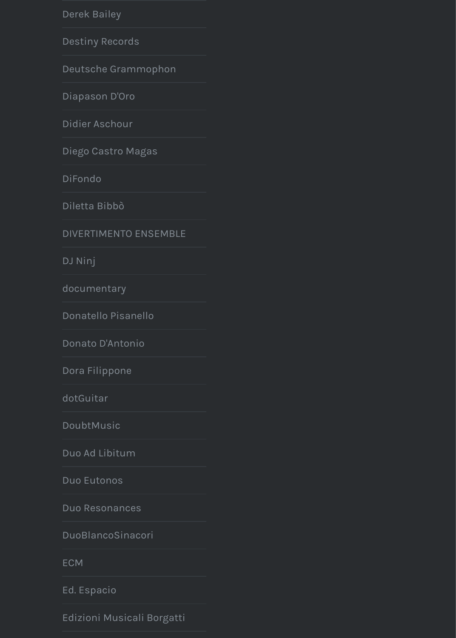Didier Aschour

Diego Castro Magas

DiFondo

Diletta Bibbò

**DIVERTIMENTO ENSEMBLE** 

DJ Ninj

documentary

Donatello Pisanello

Donato D'Antonio

Dora Filippone

dotGuitar

DoubtMusic

Duo Ad Libitum

Duo Eutonos

Duo Resonances

DuoBlancoSinacori

**ECM** 

Ed. Espacio

Edizioni Musicali Borgatti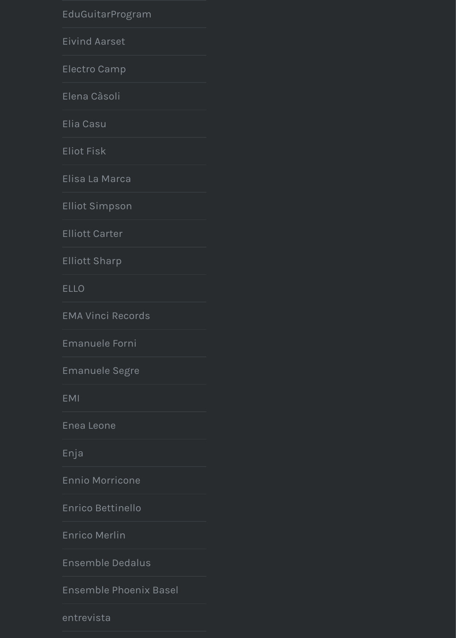Elia Casu

**Eliot Fisk** 

Elisa La Marca

**Elliot Simpson** 

**Elliott Carter** 

**Elliott Sharp** 

**ELLO** 

**EMA Vinci Records** 

Emanuele Forni

Emanuele Segre

**EMI** 

Enea Leone

Enja

**Ennio Morricone** 

Enrico Bettinello

**Enrico Merlin** 

Ensemble Dedalus

Ensemble Phoenix Basel

entrevista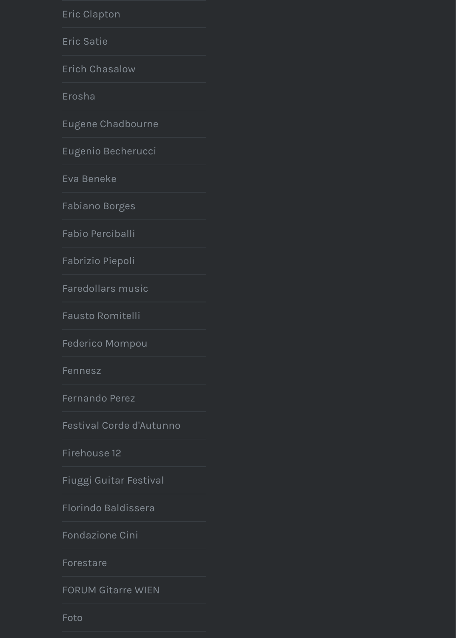Eugene Chadbourne

Eugenio Becherucci

Eva Beneke

Fabiano Borges

Fabio Perciballi

Fabrizio Piepoli

Faredollars music

Fausto Romitelli

Federico Mompou

Fennesz

**Fernando Perez** 

Festival Corde d'Autunno

Firehouse 12

Fiuggi Guitar Festival

Florindo Baldissera

Fondazione Cini

Forestare

**FORUM Gitarre WIEN** 

Foto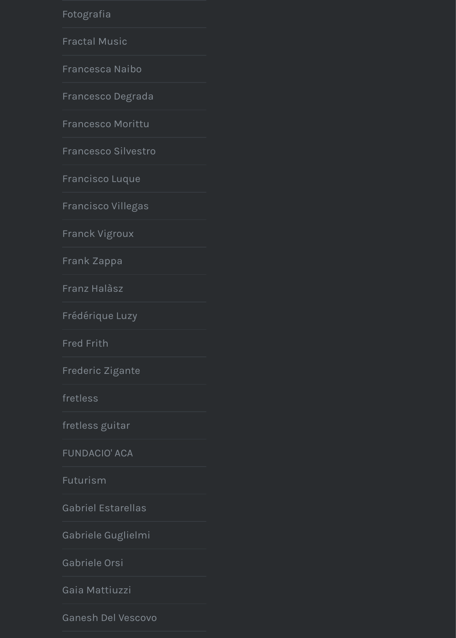Francesco Morittu

Francesco Silvestro

Francisco Luque

Francisco Villegas

Franck Vigroux

Frank Zappa

Franz Halàsz

Frédérique Luzy

**Fred Frith** 

Frederic Zigante

fretless

fretless guitar

**FUNDACIO' ACA** 

Futurism

**Gabriel Estarellas** 

Gabriele Guglielmi

Gabriele Orsi

Gaia Mattiuzzi

Ganesh Del Vescovo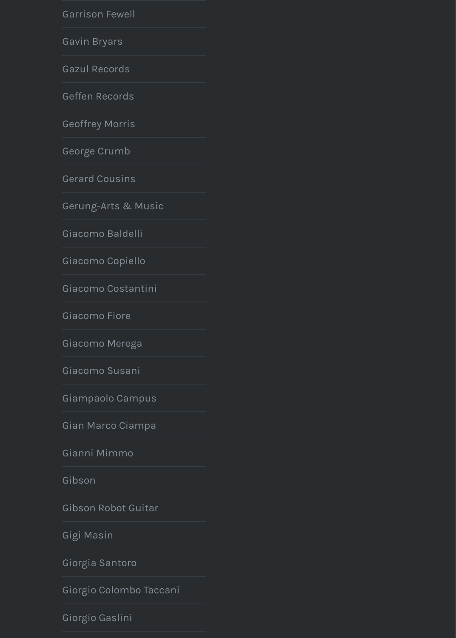[Geoffrey Morris](https://neuguitars.com/category/garrison-fewell/)

[George Crum](https://neuguitars.com/category/gavin-bryars/)b

[Gerard Cousin](https://neuguitars.com/category/gazul-records/)s

[Gerung-Arts & M](https://neuguitars.com/category/geffen-records/)usic

[Giacomo Baldel](https://neuguitars.com/category/geoffrey-morris/)li

[Giacomo Copie](https://neuguitars.com/category/george-crumb/)llo

[Giacomo Costan](https://neuguitars.com/category/gerard-cousins/)tini

[Giacomo Fiore](https://neuguitars.com/category/gerung-arts-music/)

[Giacomo Merega](https://neuguitars.com/category/giacomo-baldelli/)

[Giacomo Susani](https://neuguitars.com/category/giacomo-copiello/)

[Giampaolo Campus](https://neuguitars.com/category/giacomo-costantini/)

[Gian Marco Cia](https://neuguitars.com/category/giacomo-fiore/)mpa

[Gianni Mimmo](https://neuguitars.com/category/giacomo-merega/)

[Gibson](https://neuguitars.com/category/giacomo-susani/)

[Gibson Robot Guitar](https://neuguitars.com/category/giampaolo-campus/)

[Gigi Masin](https://neuguitars.com/category/gian-marco-ciampa/)

[Giorgia Santoro](https://neuguitars.com/category/gianni-mimmo/)

[Giorgio](https://neuguitars.com/category/gibson/) Colombo Taccani

[Giorgio Gaslini](https://neuguitars.com/category/gibson-robot-guitar/)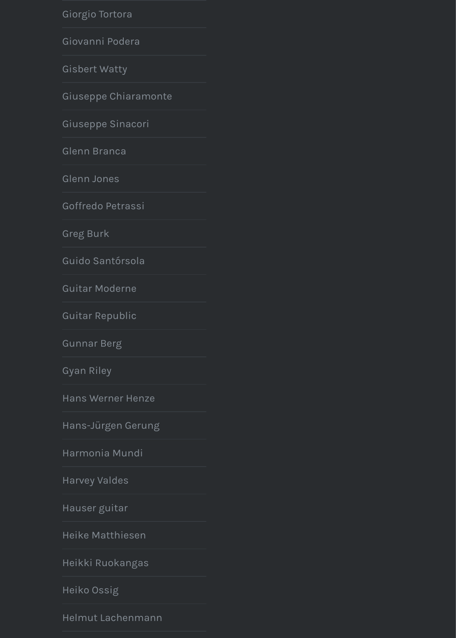Giuseppe Sinacori

Glenn Branca

Glenn Jones

Goffredo Petrassi

**Greg Burk** 

Guido Santórsola

**Guitar Moderne** 

**Guitar Republic** 

**Gunnar Berg** 

**Gyan Riley** 

**Hans Werner Henze** 

Hans-Jürgen Gerung

Harmonia Mundi

**Harvey Valdes** 

Hauser guitar

Heike Matthiesen

Heikki Ruokangas

Heiko Ossig

Helmut Lachenmann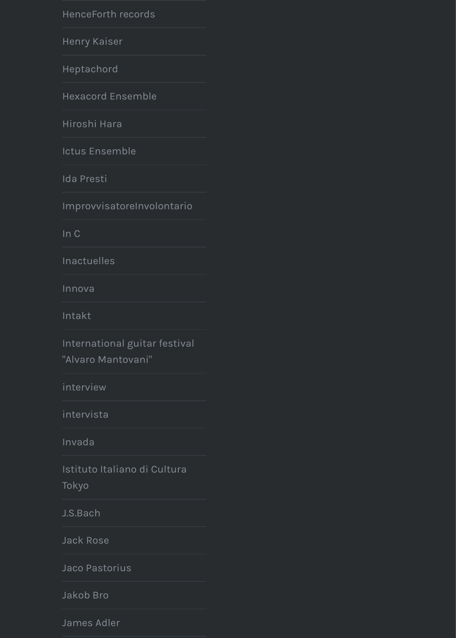[Hiroshi Hara](https://neuguitars.com/category/henceforth-records/)

[Ictus Ensemb](https://neuguitars.com/category/henry-kaiser/)le

[Ida Presti](https://neuguitars.com/category/heptachord/)

[ImprovvisatoreInvol](https://neuguitars.com/category/hexacord-ensemble/)ontario

[In C](https://neuguitars.com/category/hiroshi-hara/)

[Inactuelles](https://neuguitars.com/category/ictus-ensemble/)

[Innova](https://neuguitars.com/category/ida-presti/)

[Intakt](https://neuguitars.com/category/improvvisatoreinvolontario/)

International guitar festival

["Alva](https://neuguitars.com/category/in-c/)ro Mantovani"

[interview](https://neuguitars.com/category/inactuelles/)

[intervis](https://neuguitars.com/category/innova/)ta

[Invada](https://neuguitars.com/category/intakt/)

[Istituto Italiano di Cultura](https://neuguitars.com/category/international-guitar-festival-alvaro-mantovani/)

Tokyo

[J.S.Bach](https://neuguitars.com/category/interview/)

[Jack Rose](https://neuguitars.com/category/intervista/)

[Jaco Pa](https://neuguitars.com/category/invada/)storius

[Jakob Bro](https://neuguitars.com/category/istituto-italiano-di-cultura-tokyo/)

[James A](https://neuguitars.com/category/j-s-bach/)dler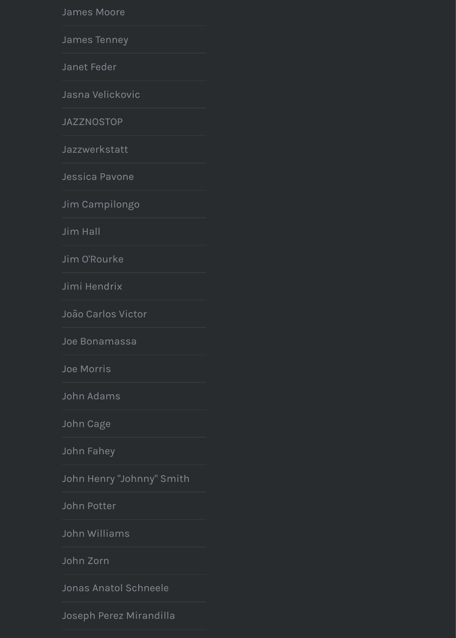[JAZZNOSTOP](https://neuguitars.com/category/james-moore/)

[Jazzwerkstatt](https://neuguitars.com/category/james-tenney/)

[Jessica Pav](https://neuguitars.com/category/janet-feder/)one

[Jim Campilongo](https://neuguitars.com/category/jasna-velickovic/)

[Jim Hall](https://neuguitars.com/category/jazznostop/)

[Jim O](https://neuguitars.com/category/jazzwerkstatt/)'[Rourke](https://neuguitars.com/category/jazzwerkstatt/)

[Jimi Hendrix](https://neuguitars.com/category/jessica-pavone/)

[João Carlos Victo](https://neuguitars.com/category/jim-campilongo/)r

[Joe Bona](https://neuguitars.com/category/jim-hall/)massa

[Joe Morris](https://neuguitars.com/category/jim-orourke/)

[John Adams](https://neuguitars.com/category/jimi-hendrix/)

[John Cage](https://neuguitars.com/category/joao-carlos-victor/)

[John Fahey](https://neuguitars.com/category/joe-bonamassa/)

[John Henry](https://neuguitars.com/category/joe-morris/) "Johnny" Smith

[John Potter](https://neuguitars.com/category/john-adams/)

[John Willia](https://neuguitars.com/category/john-cage/)ms

[John Zorn](https://neuguitars.com/category/john-fahey/)

[Jonas Anatol Schneele](https://neuguitars.com/category/john-henry-johnny-smith/)

[Joseph Pere](https://neuguitars.com/category/john-potter/)z Mirandilla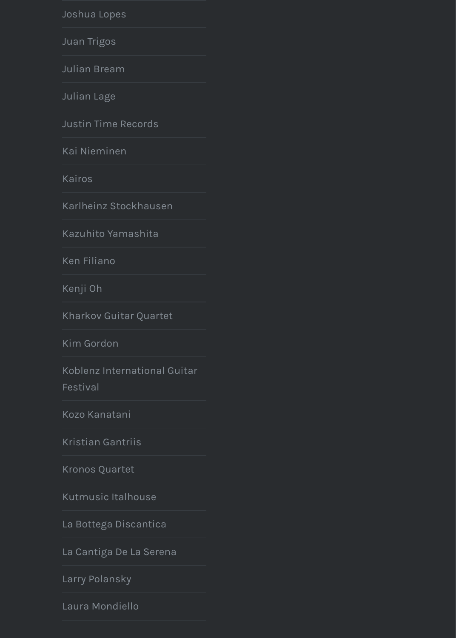[Justin Time R](https://neuguitars.com/category/joshua-lopes/)ecords

[Kai Niemine](https://neuguitars.com/category/juan-trigos/)n

[Kairos](https://neuguitars.com/category/julian-bream/)

[Karlheinz S](https://neuguitars.com/category/julian-lage/)tockhausen

[Kazuhito Yamashita](https://neuguitars.com/category/justin-time-records/)

[Ken Filiano](https://neuguitars.com/category/kai-nieminen/)

[Kenji O](https://neuguitars.com/category/kairos/)h

[Kharkov Guitar Quartet](https://neuguitars.com/category/karlheinz-stockhausen/)

[Kim Gordon](https://neuguitars.com/category/kazuhito-yamashita/)

Koblenz International Guitar [Festival](https://neuguitars.com/category/ken-filiano/)

[Kozo Kan](https://neuguitars.com/category/kenji-oh/)atani

[Kristian Gantriis](https://neuguitars.com/category/kharkov-guitar-quartet/)

[Kronos Quar](https://neuguitars.com/category/kim-gordon/)tet

[Kutmusic Italhouse](https://neuguitars.com/category/koblenz-international-guitar-festival/)

[La Bottega Disc](https://neuguitars.com/category/kozo-kanatani/)antica

[La Cantiga De La](https://neuguitars.com/category/kristian-gantriis/) Serena

[Larry Polansky](https://neuguitars.com/category/kronos-quartet/)

[Laura Mondiello](https://neuguitars.com/category/kutmusic-italhouse/)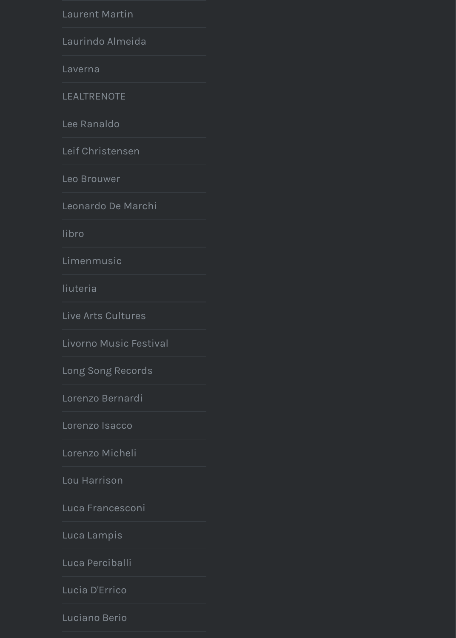[Lee Ranaldo](https://neuguitars.com/category/laurent-martin/)

[Leif Christensen](https://neuguitars.com/category/laurindo-almeida/)

[Leo Brou](https://neuguitars.com/category/laverna/)wer

[Leonardo De M](https://neuguitars.com/category/lealtrenote/)archi

[libro](https://neuguitars.com/category/lee-ranaldo/)

[Limenmusic](https://neuguitars.com/category/leif-christensen/)

[liuteria](https://neuguitars.com/category/leo-brouwer/)

[Live Arts Cultures](https://neuguitars.com/category/leonardo-de-marchi/)

[Livor](https://neuguitars.com/category/libro/)no Music Festival

[Long Song Re](https://neuguitars.com/category/limenmusic/)cords

[Lorenzo](https://neuguitars.com/category/liuteria/) Bernardi

[Lorenzo Isacco](https://neuguitars.com/category/live-arts-cultures/)

[Lorenzo Micheli](https://neuguitars.com/category/livorno-music-festival/)

[Lou Harrison](https://neuguitars.com/category/long-song-records/)

[Luca Francesconi](https://neuguitars.com/category/lorenzo-bernardi/)

[Luca Lampis](https://neuguitars.com/category/lorenzo-isacco/)

[Luca Perciballi](https://neuguitars.com/category/lorenzo-micheli/)

[Lucia D](https://neuguitars.com/category/lou-harrison/)'[Errico](https://neuguitars.com/category/lou-harrison/)

[Luciano Berio](https://neuguitars.com/category/luca-francesconi/)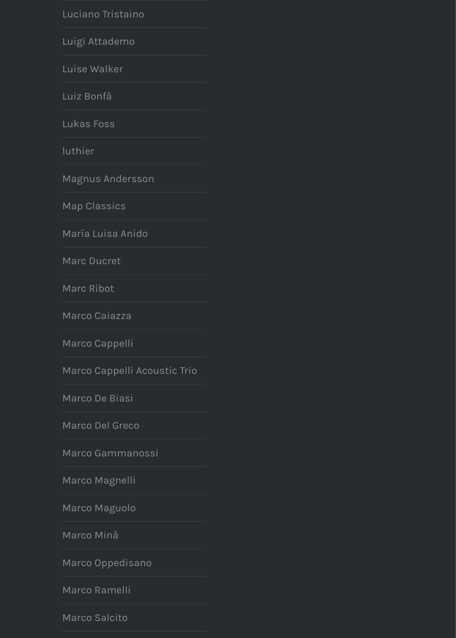Lukas Foss

luthier

Magnus Andersson

**Map Classics** 

María Luisa Anido

Marc Ducret

Marc Ribot

Marco Caiazza

Marco Cappelli

Marco Cappelli Acoustic Trio

Marco De Biasi

Marco Del Greco

Marco Gammanossi

Marco Magnelli

Marco Maguolo

Marco Minà

Marco Oppedisano

Marco Ramelli

Marco Salcito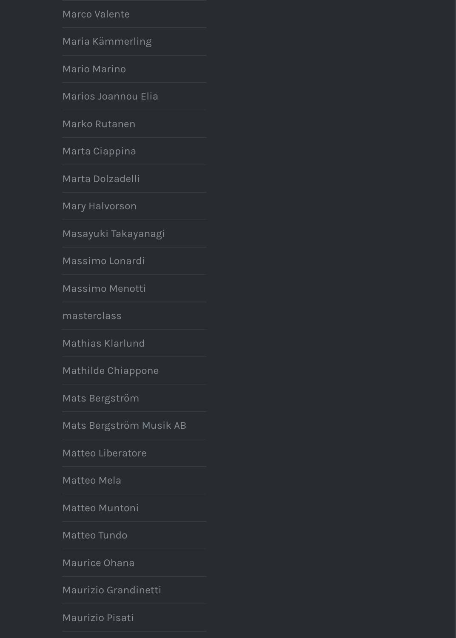[Marko Rutanen](https://neuguitars.com/category/marco-valente/)

[Marta Ciappina](https://neuguitars.com/category/maria-kammerling/)

[Marta Dolzade](https://neuguitars.com/category/mario-marino/)lli

[Mary Halvorson](https://neuguitars.com/category/marios-joannou-elia/)

[Masayuki Takay](https://neuguitars.com/category/marko-rutanen/)anagi

[Massimo Lonard](https://neuguitars.com/category/marta-ciappina/)i

[Massimo Menott](https://neuguitars.com/category/marta-dolzadelli/)i

[masterclass](https://neuguitars.com/category/mary-halvorson/)

[Mathias Klarlund](https://neuguitars.com/category/masayuki-takayanagi/)

[Mathilde Chiappo](https://neuguitars.com/category/massimo-lonardi/)ne

[Mats Bergström](https://neuguitars.com/category/massimo-menotti/)

[Mats Bergstr](https://neuguitars.com/category/masterclass/)öm Musik AB

[Matteo Liberatore](https://neuguitars.com/category/mathias-klarlund/)

[Matteo Mela](https://neuguitars.com/category/mathilde-chiappone/)

[Matteo Muntoni](https://neuguitars.com/category/mats-bergstrom/)

[Matteo Tundo](https://neuguitars.com/category/mats-bergstrom-musik-ab/)

[Maurice Ohana](https://neuguitars.com/category/matteo-liberatore/)

[Maurizio Gra](https://neuguitars.com/category/matteo-mela/)ndinetti

[Maurizio Pisati](https://neuguitars.com/category/matteo-muntoni/)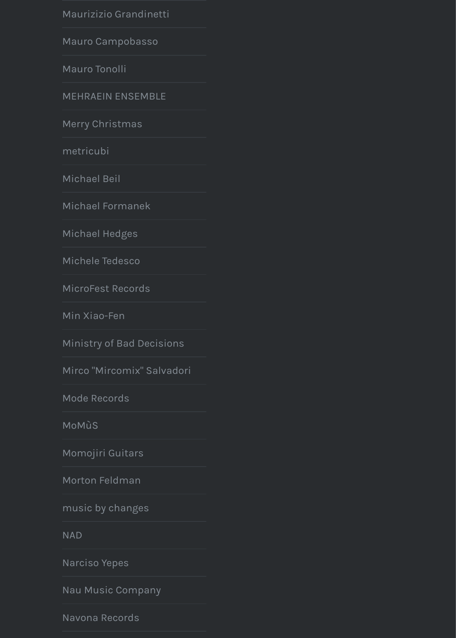[Merry Christmas](https://neuguitars.com/category/maurizizio-grandinetti/)

[metricubi](https://neuguitars.com/category/mauro-campobasso/)

[Michael Beil](https://neuguitars.com/category/mauro-tonolli/)

[Michael Formanek](https://neuguitars.com/category/mehraein-ensemble/)

[Michael Hedges](https://neuguitars.com/category/merry-christmas/)

[Michele Te](https://neuguitars.com/category/metricubi/)desco

[MicroFest Re](https://neuguitars.com/category/michael-beil/)cords

[Min Xiao-Fen](https://neuguitars.com/category/michael-formanek/)

[Ministry of Bad D](https://neuguitars.com/category/michael-hedges/)ecisions

[Mirco "Mircomix"](https://neuguitars.com/category/michele-tedesco/) Salvadori

[Mode Records](https://neuguitars.com/category/microfest-records/)

[MoMùS](https://neuguitars.com/category/min-xiao-fen/)

[Momojiri Guitars](https://neuguitars.com/category/ministry-of-bad-decisions/)

[Morton Feldman](https://neuguitars.com/category/mirco-mircomix-salvadori/)

[music by chan](https://neuguitars.com/category/mode-records/)ges

[NAD](https://neuguitars.com/category/momus/)

[Narciso Yepes](https://neuguitars.com/category/momojiri-guitars/)

[Nau Music Comp](https://neuguitars.com/category/morton-feldman/)any

[Navona Records](https://neuguitars.com/category/music-by-changes/)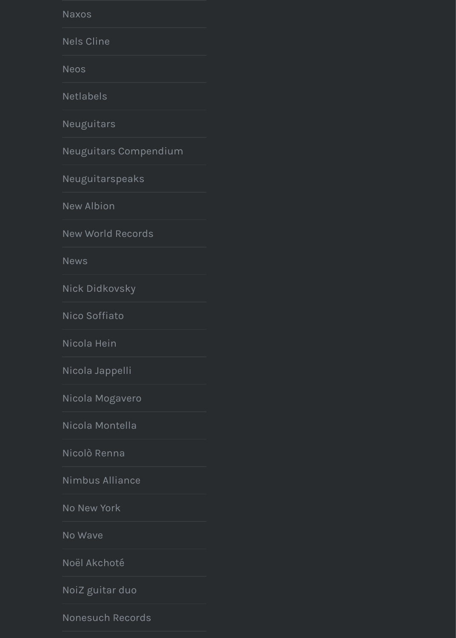Neuguitars

Neuguitars Compendium

Neuguitarspeaks

New Albion

**New World Records** 

**News** 

Nick Didkovsky

Nico Soffiato

Nicola Hein

Nicola Jappelli

Nicola Mogavero

Nicola Montella

Nicolò Renna

Nimbus Alliance

No New York

No Wave

Noël Akchoté

NoiZ guitar duo

**Nonesuch Records**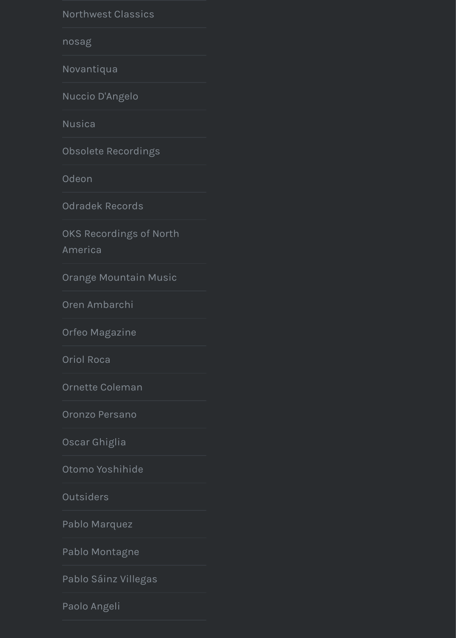**Nusica** 

Obsolete Recordings

Odeon

**Odradek Records** 

OKS Recordings of North

America

Orange Mountain Music

Oren Ambarchi

Orfeo Magazine

Oriol Roca

Ornette Coleman

Oronzo Persano

Oscar Ghiglia

Otomo Yoshihide

Outsiders

Pablo Marquez

Pablo Montagne

Pablo Sáinz Villegas

Paolo Angeli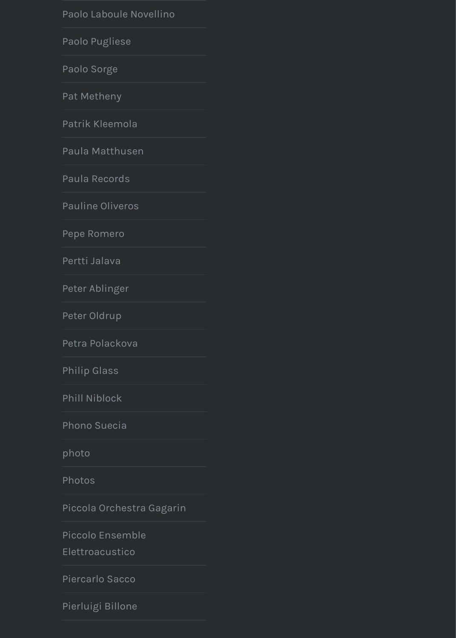[Patrik Kleemola](https://neuguitars.com/category/paolo-laboule-novellino/)

[Paula Matthus](https://neuguitars.com/category/paolo-pugliese/)en

[Paula Recor](https://neuguitars.com/category/paolo-sorge/)ds

[Pauline Olive](https://neuguitars.com/category/pat-metheny/)ros

[Pepe Romero](https://neuguitars.com/category/patrik-kleemola/)

[Pertti Jalava](https://neuguitars.com/category/paula-matthusen/)

[Peter Ablinger](https://neuguitars.com/category/paula-records/)

[Peter Oldrup](https://neuguitars.com/category/pauline-oliveros/)

[Petra Polacko](https://neuguitars.com/category/pepe-romero/)va

[Philip Glass](https://neuguitars.com/category/pertti-jalava/)

[Phill Niblock](https://neuguitars.com/category/peter-ablinger/)

[Phono Suecia](https://neuguitars.com/category/peter-oldrup/)

[photo](https://neuguitars.com/category/petra-polackova/)

[Photos](https://neuguitars.com/category/philip-glass/)

[Piccola Orche](https://neuguitars.com/category/phill-niblock/)stra Gagarin

Piccolo Ensemble

[Elettroacustic](https://neuguitars.com/category/phono-suecia/)o

[Pierca](https://neuguitars.com/category/photo/)rlo Sacco

[Pierluig](https://neuguitars.com/category/photos/)i Billone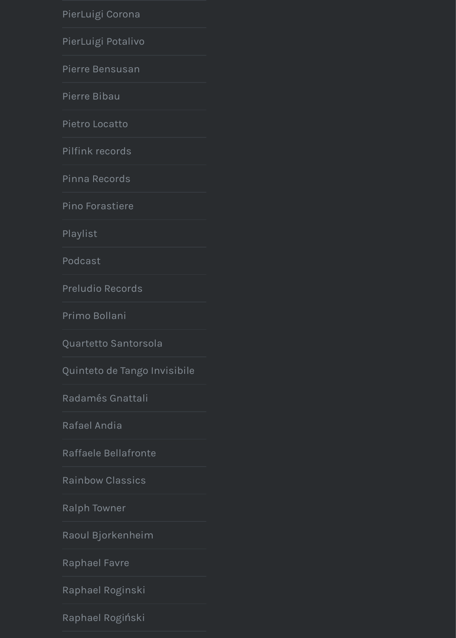[Pietro Locatto](https://neuguitars.com/category/pierluigi-corona/)

[Pilfink records](https://neuguitars.com/category/pierluigi-potalivo/)

[Pinna Records](https://neuguitars.com/category/pierre-bensusan/)

[Pino Forastie](https://neuguitars.com/category/pierre-bibau/)re

[Playlist](https://neuguitars.com/category/pietro-locatto/)

[Podcast](https://neuguitars.com/category/pilfink-records/)

[Preludio Recor](https://neuguitars.com/category/pinna-records/)ds

[Primo Bollani](https://neuguitars.com/category/pino-forastiere/)

[Quartet](https://neuguitars.com/category/playlist/)to Santorsola

[Quinteto](https://neuguitars.com/category/podcast/) de Tango Invisibile

[Radamés Gnattal](https://neuguitars.com/category/preludio-records/)i

[Rafael Andia](https://neuguitars.com/category/primo-bollani/)

[Raffaele Bellafronte](https://neuguitars.com/category/quartetto-santorsola/)

[Rainbow Classics](https://neuguitars.com/category/quinteto-de-tango-invisibile/)

[Ralph Towner](https://neuguitars.com/category/radames-gnattali/)

[Raoul Bjorke](https://neuguitars.com/category/rafael-andia/)nheim

[Raphael Favre](https://neuguitars.com/category/raffaele-bellafronte/)

[Raphael Roginski](https://neuguitars.com/category/rainbow-classics/)

[Raphael Rogi](https://neuguitars.com/category/ralph-towner/)ński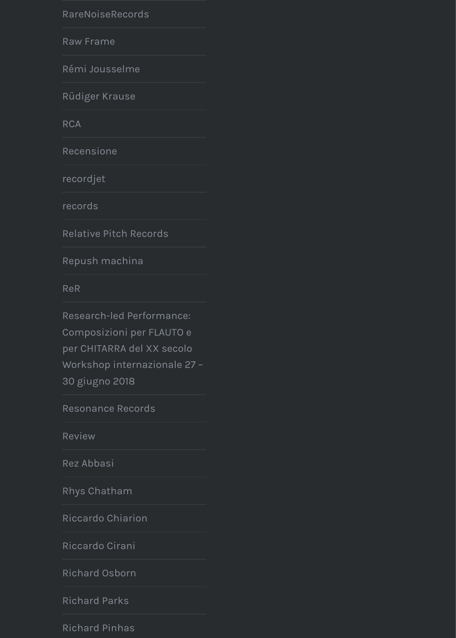[RCA](https://neuguitars.com/category/rarenoiserecords/)

[Recensione](https://neuguitars.com/category/raw-frame/)

[recordjet](https://neuguitars.com/category/remi-jousselme/)

[records](https://neuguitars.com/category/rudiger-krause/)

[Rela](https://neuguitars.com/category/rca/)tive Pitch Records

[Repush mac](https://neuguitars.com/category/recensione/)hina

[ReR](https://neuguitars.com/category/recordjet/)

Research-led Performance: [Compos](https://neuguitars.com/category/records/)izioni per FLAUTO e [per CHITARRA del XX se](https://neuguitars.com/category/relative-pitch-records/)colo Workshop internazionale 27 – [30 giugno 2018](https://neuguitars.com/category/repush-machina/)

[Reso](https://neuguitars.com/category/rer/)nance Records

Review

Rez Abbasi

[Rhys Chatham](https://neuguitars.com/category/research-led-performance-composizioni-per-flauto-e-per-chitarra-del-xx-secolo-workshop-internazionale-27-30-giugno-2018/)

[Riccardo Chiarion](https://neuguitars.com/category/resonance-records/)

[Riccard](https://neuguitars.com/category/review/)o Cirani

[Richard Osb](https://neuguitars.com/category/rez-abbasi/)orn

[Richard Parks](https://neuguitars.com/category/rhys-chatham/)

[Richard Pinhas](https://neuguitars.com/category/riccardo-chiarion/)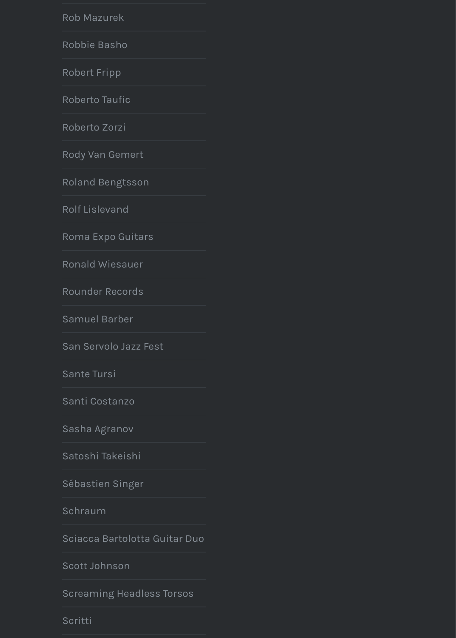Roberto Zorzi

Rody Van Gemert

Roland Bengtsson

**Rolf Lislevand** 

Roma Expo Guitars

Ronald Wiesauer

Rounder Records

Samuel Barber

San Servolo Jazz Fest

Sante Tursi

Santi Costanzo

Sasha Agranov

Satoshi Takeishi

Sébastien Singer

Schraum

Sciacca Bartolotta Guitar Duo

Scott Johnson

**Screaming Headless Torsos** 

Scritti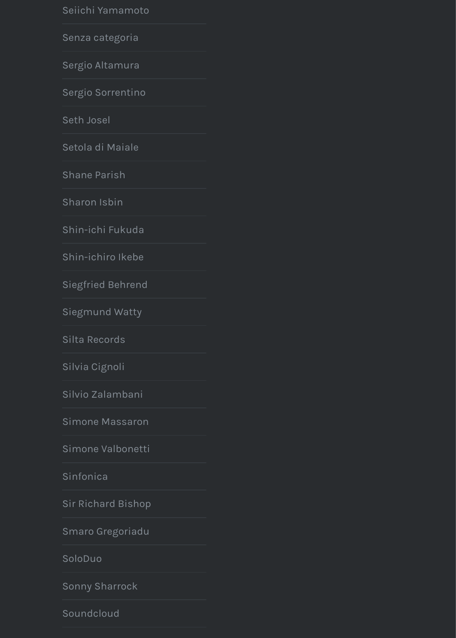[Seth Josel](https://neuguitars.com/category/seiichi-yamamoto/)

[Setola di Maiale](https://neuguitars.com/category/senza-categoria/)

[Shane Parish](https://neuguitars.com/category/sergio-altamura/)

[Sharon Isbin](https://neuguitars.com/category/sergio-sorrentino/)

[Shin-ichi F](https://neuguitars.com/category/seth-josel/)ukuda

[Shin-ichiro Ikebe](https://neuguitars.com/category/setola-di-maiale/)

[Siegfried Beh](https://neuguitars.com/category/shane-parish/)rend

[Siegmund Wa](https://neuguitars.com/category/sharon-isbin/)tty

[Silta Records](https://neuguitars.com/category/shin-ichi-fukuda/)

[Silvia Cignoli](https://neuguitars.com/category/shin-ichiro-ikebe/)

[Silvio Zalambani](https://neuguitars.com/category/siegfried-behrend/)

[Simone Massaro](https://neuguitars.com/category/siegmund-watty/)n

[Simone Valbo](https://neuguitars.com/category/silta-records/)netti

[Sinfonica](https://neuguitars.com/category/silvia-cignoli/)

[Sir Richard Bisho](https://neuguitars.com/category/silvio-zalambani/)p

[Smaro Gregoriadu](https://neuguitars.com/category/simone-massaron/)

[SoloDuo](https://neuguitars.com/category/simone-valbonetti/)

[Sonny Sha](https://neuguitars.com/category/sinfonica/)rrock

[Soundcloud](https://neuguitars.com/category/sir-richard-bishop/)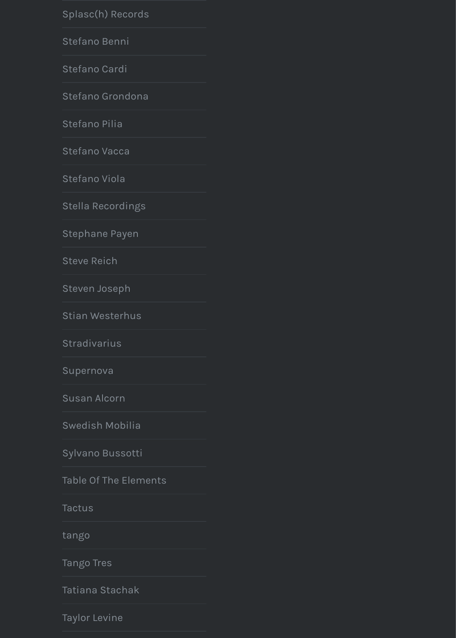[Stefano Pilia](https://neuguitars.com/category/splasch-records/)

[Stefano Vacca](https://neuguitars.com/category/stefano-benni/)

[Stefano Viola](https://neuguitars.com/category/stefano-cardi/)

[Stella Recordings](https://neuguitars.com/category/stefano-grondona/)

[Stephane Pay](https://neuguitars.com/category/stefano-pilia/)en

[Steve Reich](https://neuguitars.com/category/stefano-vacca/)

[Steven Joseph](https://neuguitars.com/category/stefano-viola/)

[Stian Westerhus](https://neuguitars.com/category/stella-recordings/)

[Stradivarius](https://neuguitars.com/category/stephane-payen/)

[Supernova](https://neuguitars.com/category/steve-reich/)

[Susan Alcorn](https://neuguitars.com/category/steven-joseph/)

[Swedish Mobilia](https://neuguitars.com/category/stian-westerhus/)

[Sylvano Buss](https://neuguitars.com/category/stradivarius/)otti

[Table Of Th](https://neuguitars.com/category/supernova/)e Elements

**[Tactus](https://neuguitars.com/category/susan-alcorn/)** 

[tango](https://neuguitars.com/category/swedish-mobilia/)

[Tango Tres](https://neuguitars.com/category/sylvano-bussotti/)

[Tatiana Stachak](https://neuguitars.com/category/table-of-the-elements/)

[Taylor L](https://neuguitars.com/category/tactus/)evine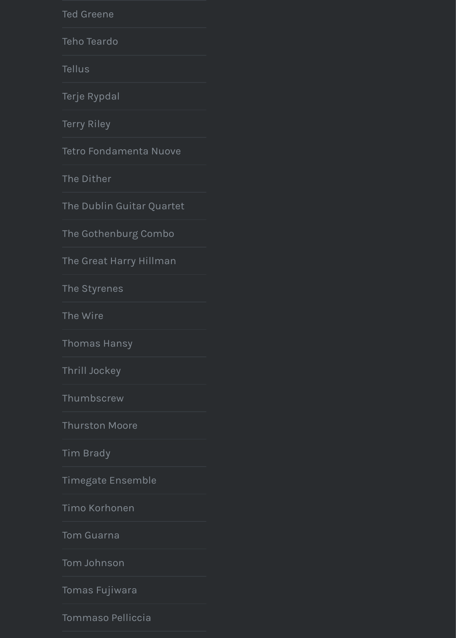Terry Riley

Tetro Fondamenta Nuove

The Dither

The Dublin Guitar Quartet

The Gothenburg Combo

The Great Harry Hillman

The Styrenes

The Wire

Thomas Hansy

Thrill Jockey

Thumbscrew

**Thurston Moore** 

**Tim Brady** 

Timegate Ensemble

Timo Korhonen

**Tom Guarna** 

Tom Johnson

Tomas Fujiwara

Tommaso Pelliccia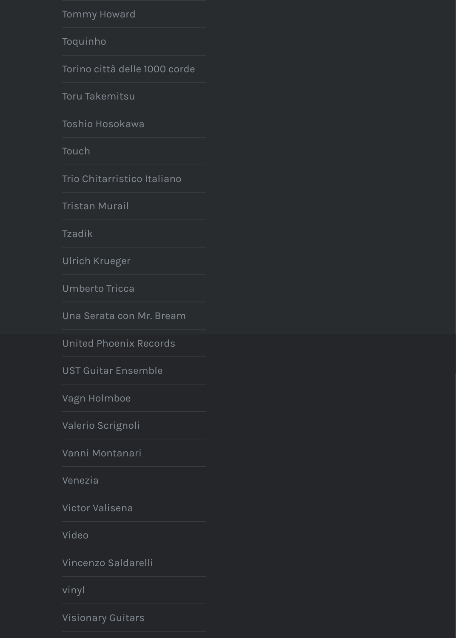Toshio Hosokawa

Touch

Trio Chitarristico Italiano

**Tristan Murail** 

Tzadik

**Ulrich Krueger** 

**Umberto Tricca** 

Una Serata con Mr. Bream

**United Phoenix Records** 

**UST Guitar Ensemble** 

Vagn Holmboe

Valerio Scrignoli

Vanni Montanari

Venezia

Victor Valisena

Video

Vincenzo Saldarelli

vinyl

**Visionary Guitars**